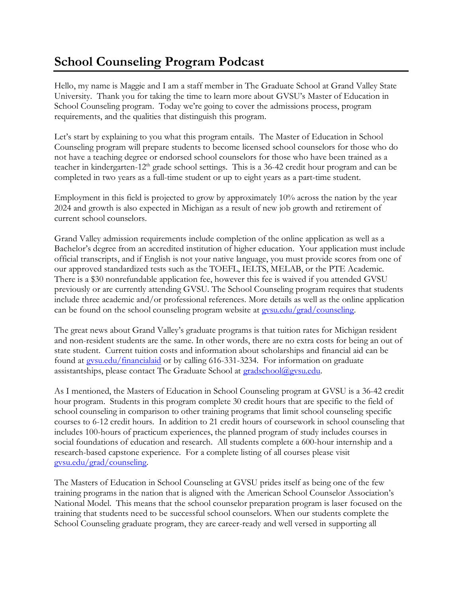## **School Counseling Program Podcast**

Hello, my name is Maggie and I am a staff member in The Graduate School at Grand Valley State University. Thank you for taking the time to learn more about GVSU's Master of Education in School Counseling program. Today we're going to cover the admissions process, program requirements, and the qualities that distinguish this program.

Let's start by explaining to you what this program entails. The Master of Education in School Counseling program will prepare students to become licensed school counselors for those who do not have a teaching degree or endorsed school counselors for those who have been trained as a teacher in kindergarten-12<sup>th</sup> grade school settings. This is a 36-42 credit hour program and can be completed in two years as a full-time student or up to eight years as a part-time student.

Employment in this field is projected to grow by approximately 10% across the nation by the year 2024 and growth is also expected in Michigan as a result of new job growth and retirement of current school counselors.

Grand Valley admission requirements include completion of the online application as well as a Bachelor's degree from an accredited institution of higher education. Your application must include official transcripts, and if English is not your native language, you must provide scores from one of our approved standardized tests such as the TOEFL, IELTS, MELAB, or the PTE Academic. There is a \$30 nonrefundable application fee, however this fee is waived if you attended GVSU previously or are currently attending GVSU. The School Counseling program requires that students include three academic and/or professional references. More details as well as the online application can be found on the school counseling program website at [gvsu.edu/grad/counseling.](http://www.gvsu.edu/grad/counseling)

The great news about Grand Valley's graduate programs is that tuition rates for Michigan resident and non-resident students are the same. In other words, there are no extra costs for being an out of state student. Current tuition costs and information about scholarships and financial aid can be found at [gvsu.edu/financialaid](http://www.gvsu.edu/financialaid) or by calling 616-331-3234. For information on graduate assistantships, please contact The Graduate School at [gradschool@gvsu.edu.](mailto:gradschool@gvsu.edu)

As I mentioned, the Masters of Education in School Counseling program at GVSU is a 36-42 credit hour program. Students in this program complete 30 credit hours that are specific to the field of school counseling in comparison to other training programs that limit school counseling specific courses to 6-12 credit hours. In addition to 21 credit hours of coursework in school counseling that includes 100-hours of practicum experiences, the planned program of study includes courses in social foundations of education and research. All students complete a 600-hour internship and a research-based capstone experience. For a complete listing of all courses please visit [gvsu.edu/grad/counseling.](http://www.gvsu.edu/grad/counseling)

The Masters of Education in School Counseling at GVSU prides itself as being one of the few training programs in the nation that is aligned with the American School Counselor Association's National Model. This means that the school counselor preparation program is laser focused on the training that students need to be successful school counselors. When our students complete the School Counseling graduate program, they are career-ready and well versed in supporting all